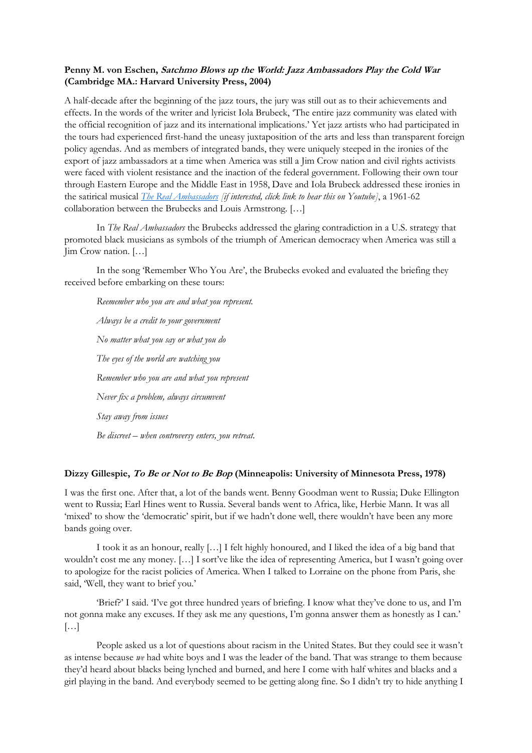## **Penny M. von Eschen, Satchmo Blows up the World: Jazz Ambassadors Play the Cold War (Cambridge MA.: Harvard University Press, 2004)**

A half-decade after the beginning of the jazz tours, the jury was still out as to their achievements and effects. In the words of the writer and lyricist Iola Brubeck, 'The entire jazz community was elated with the official recognition of jazz and its international implications.' Yet jazz artists who had participated in the tours had experienced first-hand the uneasy juxtaposition of the arts and less than transparent foreign policy agendas. And as members of integrated bands, they were uniquely steeped in the ironies of the export of jazz ambassadors at a time when America was still a Jim Crow nation and civil rights activists were faced with violent resistance and the inaction of the federal government. Following their own tour through Eastern Europe and the Middle East in 1958, Dave and Iola Brubeck addressed these ironies in the satirical musical *[The Real Ambassadors](https://www.youtube.com/watch?v=3P9_lz90pGY&list=PLKLPE6Ph1xZpNagsiJKyIwRDmD0Rfg5yX) [if interested, click link to hear this on Youtube]*, a 1961-62 collaboration between the Brubecks and Louis Armstrong. […]

In *The Real Ambassadors* the Brubecks addressed the glaring contradiction in a U.S. strategy that promoted black musicians as symbols of the triumph of American democracy when America was still a Jim Crow nation. […]

In the song 'Remember Who You Are', the Brubecks evoked and evaluated the briefing they received before embarking on these tours:

*Reemember who you are and what you represent. Always be a credit to your government No matter what you say or what you do The eyes of the world are watching you Remember who you are and what you represent Never fix a problem, always circumvent Stay away from issues Be discreet – when controversy enters, you retreat.* 

## **Dizzy Gillespie, To Be or Not to Be Bop (Minneapolis: University of Minnesota Press, 1978)**

I was the first one. After that, a lot of the bands went. Benny Goodman went to Russia; Duke Ellington went to Russia; Earl Hines went to Russia. Several bands went to Africa, like, Herbie Mann. It was all 'mixed' to show the 'democratic' spirit, but if we hadn't done well, there wouldn't have been any more bands going over.

I took it as an honour, really […] I felt highly honoured, and I liked the idea of a big band that wouldn't cost me any money. […] I sort've like the idea of representing America, but I wasn't going over to apologize for the racist policies of America. When I talked to Lorraine on the phone from Paris, she said, 'Well, they want to brief you.'

'Brief?' I said. Tve got three hundred years of briefing. I know what they've done to us, and I'm not gonna make any excuses. If they ask me any questions, I'm gonna answer them as honestly as I can.' […]

People asked us a lot of questions about racism in the United States. But they could see it wasn't as intense because *we* had white boys and I was the leader of the band. That was strange to them because they'd heard about blacks being lynched and burned, and here I come with half whites and blacks and a girl playing in the band. And everybody seemed to be getting along fine. So I didn't try to hide anything I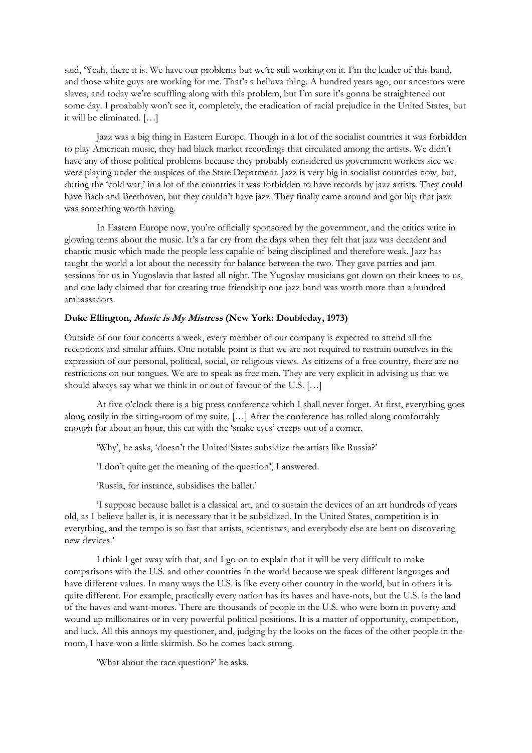said, 'Yeah, there it is. We have our problems but we're still working on it. I'm the leader of this band, and those white guys are working for me. That's a helluva thing. A hundred years ago, our ancestors were slaves, and today we're scuffling along with this problem, but I'm sure it's gonna be straightened out some day. I proabably won't see it, completely, the eradication of racial prejudice in the United States, but it will be eliminated. […]

Jazz was a big thing in Eastern Europe. Though in a lot of the socialist countries it was forbidden to play American music, they had black market recordings that circulated among the artists. We didn't have any of those political problems because they probably considered us government workers sice we were playing under the auspices of the State Deparment. Jazz is very big in socialist countries now, but, during the 'cold war,' in a lot of the countries it was forbidden to have records by jazz artists. They could have Bach and Beethoven, but they couldn't have jazz. They finally came around and got hip that jazz was something worth having.

In Eastern Europe now, you're officially sponsored by the government, and the critics write in glowing terms about the music. It's a far cry from the days when they felt that jazz was decadent and chaotic music which made the people less capable of being disciplined and therefore weak. Jazz has taught the world a lot about the necessity for balance between the two. They gave parties and jam sessions for us in Yugoslavia that lasted all night. The Yugoslav musicians got down on their knees to us, and one lady claimed that for creating true friendship one jazz band was worth more than a hundred ambassadors.

## **Duke Ellington, Music is My Mistress (New York: Doubleday, 1973)**

Outside of our four concerts a week, every member of our company is expected to attend all the receptions and similar affairs. One notable point is that we are not required to restrain ourselves in the expression of our personal, political, social, or religious views. As citizens of a free country, there are no restrictions on our tongues. We are to speak as free men. They are very explicit in advising us that we should always say what we think in or out of favour of the U.S. […]

At five o'clock there is a big press conference which I shall never forget. At first, everything goes along cosily in the sitting-room of my suite. […] After the conference has rolled along comfortably enough for about an hour, this cat with the 'snake eyes' creeps out of a corner.

'Why', he asks, 'doesn't the United States subsidize the artists like Russia?'

'I don't quite get the meaning of the question', I answered.

'Russia, for instance, subsidises the ballet.'

'I suppose because ballet is a classical art, and to sustain the devices of an art hundreds of years old, as I believe ballet is, it is necessary that it be subsidized. In the United States, competition is in everything, and the tempo is so fast that artists, scientistws, and everybody else are bent on discovering new devices.'

I think I get away with that, and I go on to explain that it will be very difficult to make comparisons with the U.S. and other countries in the world because we speak different languages and have different values. In many ways the U.S. is like every other country in the world, but in others it is quite different. For example, practically every nation has its haves and have-nots, but the U.S. is the land of the haves and want-mores. There are thousands of people in the U.S. who were born in poverty and wound up millionaires or in very powerful political positions. It is a matter of opportunity, competition, and luck. All this annoys my questioner, and, judging by the looks on the faces of the other people in the room, I have won a little skirmish. So he comes back strong.

'What about the race question?' he asks.